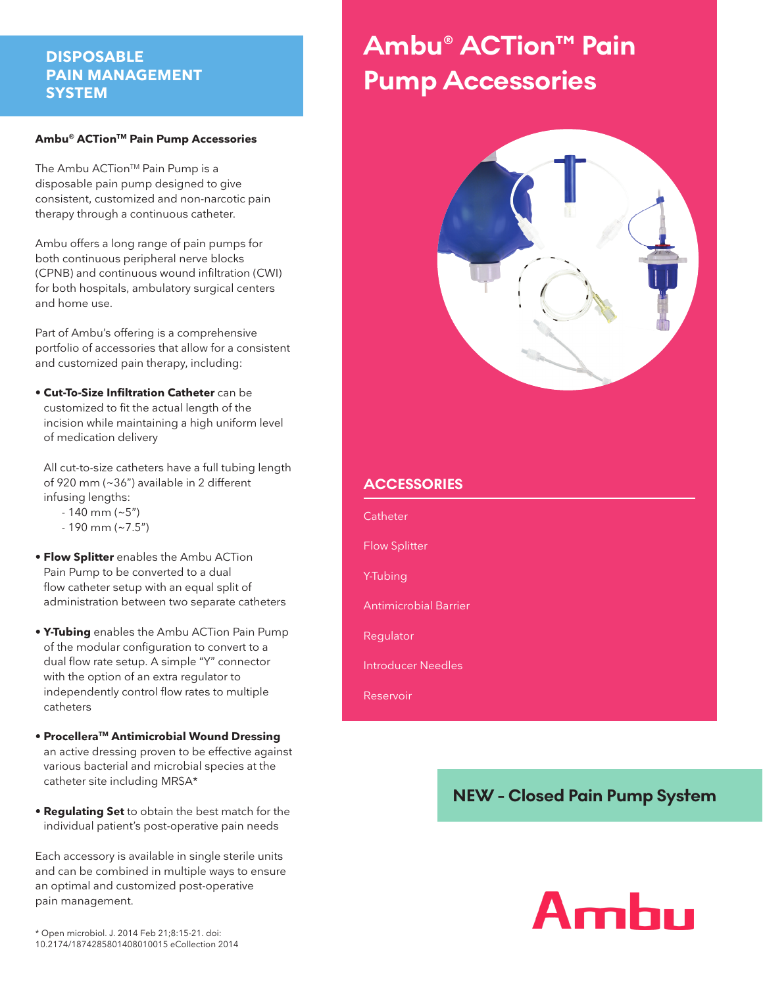# **DISPOSABLE PAIN MANAGEMENT SYSTEM**

#### **Ambu® ACTionTM Pain Pump Accessories**

The Ambu ACTion<sup>™</sup> Pain Pump is a disposable pain pump designed to give consistent, customized and non-narcotic pain therapy through a continuous catheter.

Ambu offers a long range of pain pumps for both continuous peripheral nerve blocks (CPNB) and continuous wound infiltration (CWI) for both hospitals, ambulatory surgical centers and home use.

Part of Ambu's offering is a comprehensive portfolio of accessories that allow for a consistent and customized pain therapy, including:

**• Cut-To-Size Infiltration Catheter** can be customized to fit the actual length of the incision while maintaining a high uniform level of medication delivery

 All cut-to-size catheters have a full tubing length of 920 mm (~36") available in 2 different infusing lengths:

 $-140$  mm ( $-5$ ")

- 190 mm (~7.5")
- **Flow Splitter** enables the Ambu ACTion Pain Pump to be converted to a dual flow catheter setup with an equal split of administration between two separate catheters
- **Y-Tubing** enables the Ambu ACTion Pain Pump of the modular configuration to convert to a dual flow rate setup. A simple "Y" connector with the option of an extra regulator to independently control flow rates to multiple catheters
- **ProcelleraTM Antimicrobial Wound Dressing** an active dressing proven to be effective against various bacterial and microbial species at the catheter site including MRSA\*
- **Regulating Set** to obtain the best match for the individual patient's post-operative pain needs

Each accessory is available in single sterile units and can be combined in multiple ways to ensure an optimal and customized post-operative pain management.

# **Ambu® ACTion™ Pain Pump Accessories**



# **ACCESSORIES**

**Catheter** Flow Splitter Y-Tubing Antimicrobial Barrier Regulator Introducer Needles

Reservoir

# **NEW - Closed Pain Pump System**

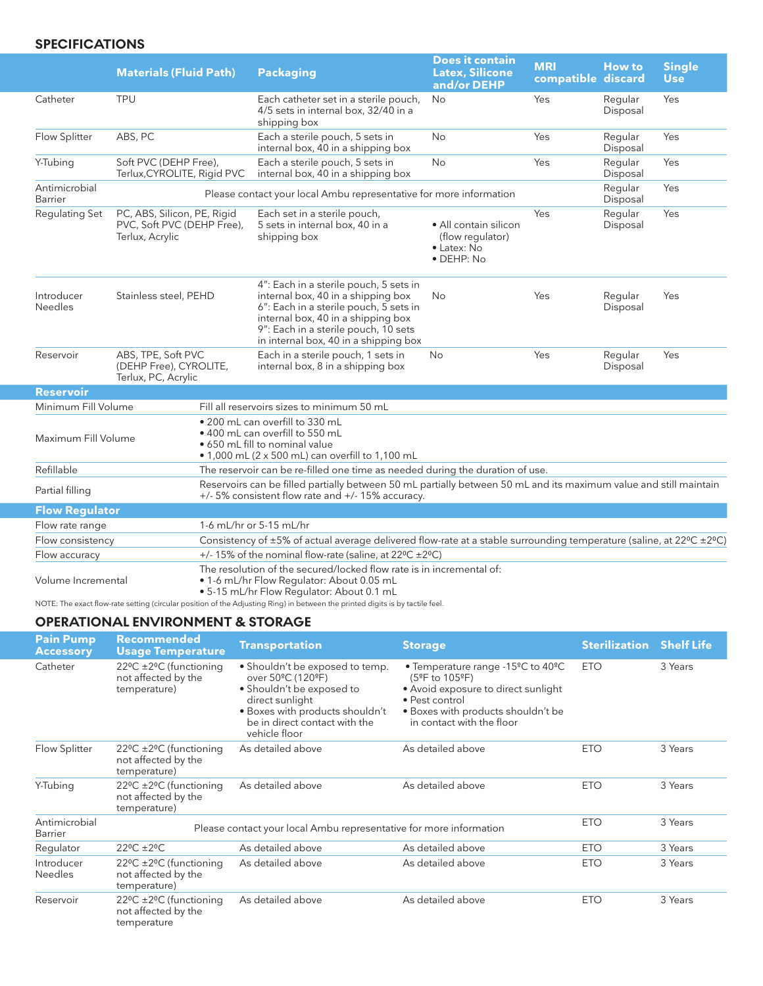# **SPECIFICATIONS**

|                              | <b>Materials (Fluid Path)</b>                                                |                                                                                                                                                                        | <b>Packaging</b>                                                                                                                                                                                                                              | <b>Does it contain</b><br><b>Latex, Silicone</b><br>and/or DEHP                | <b>MRI</b><br>compatible discard | <b>How to</b>       | <b>Single</b><br><b>Use</b> |
|------------------------------|------------------------------------------------------------------------------|------------------------------------------------------------------------------------------------------------------------------------------------------------------------|-----------------------------------------------------------------------------------------------------------------------------------------------------------------------------------------------------------------------------------------------|--------------------------------------------------------------------------------|----------------------------------|---------------------|-----------------------------|
| Catheter                     | <b>TPU</b>                                                                   |                                                                                                                                                                        | Each catheter set in a sterile pouch,<br>4/5 sets in internal box, 32/40 in a<br>shipping box                                                                                                                                                 | <b>No</b>                                                                      | Yes                              | Regular<br>Disposal | Yes                         |
| Flow Splitter                | ABS, PC                                                                      |                                                                                                                                                                        | Each a sterile pouch, 5 sets in<br>internal box, 40 in a shipping box                                                                                                                                                                         | <b>No</b>                                                                      | Yes                              | Regular<br>Disposal | Yes                         |
| Y-Tubing                     | Soft PVC (DEHP Free),<br>Terlux, CYROLITE, Rigid PVC                         |                                                                                                                                                                        | Each a sterile pouch, 5 sets in<br>internal box, 40 in a shipping box                                                                                                                                                                         | <b>No</b>                                                                      | Yes                              | Regular<br>Disposal | Yes                         |
| Antimicrobial<br>Barrier     |                                                                              |                                                                                                                                                                        | Please contact your local Ambu representative for more information                                                                                                                                                                            |                                                                                |                                  | Regular<br>Disposal | Yes                         |
| Regulating Set               | PC, ABS, Silicon, PE, Rigid<br>PVC, Soft PVC (DEHP Free),<br>Terlux, Acrylic |                                                                                                                                                                        | Each set in a sterile pouch,<br>5 sets in internal box, 40 in a<br>shipping box                                                                                                                                                               | • All contain silicon<br>(flow regulator)<br>• Latex: No<br>$\bullet$ DEHP: No | Yes                              | Regular<br>Disposal | Yes                         |
| Introducer<br><b>Needles</b> | Stainless steel, PEHD                                                        |                                                                                                                                                                        | 4": Each in a sterile pouch, 5 sets in<br>internal box, 40 in a shipping box<br>6": Each in a sterile pouch, 5 sets in<br>internal box, 40 in a shipping box<br>9": Each in a sterile pouch, 10 sets<br>in internal box, 40 in a shipping box | No                                                                             | Yes                              | Regular<br>Disposal | Yes                         |
| Reservoir                    | ABS, TPE, Soft PVC<br>(DEHP Free), CYROLITE,<br>Terlux, PC, Acrylic          |                                                                                                                                                                        | Each in a sterile pouch, 1 sets in<br>internal box, 8 in a shipping box                                                                                                                                                                       | No                                                                             | Yes                              | Regular<br>Disposal | Yes                         |
| <b>Reservoir</b>             |                                                                              |                                                                                                                                                                        |                                                                                                                                                                                                                                               |                                                                                |                                  |                     |                             |
| Minimum Fill Volume          |                                                                              |                                                                                                                                                                        | Fill all reservoirs sizes to minimum 50 mL                                                                                                                                                                                                    |                                                                                |                                  |                     |                             |
| Maximum Fill Volume          |                                                                              |                                                                                                                                                                        | . 200 mL can overfill to 330 mL<br>$\bullet$ 400 mL can overfill to 550 mL<br>• 650 mL fill to nominal value<br>• 1,000 mL (2 x 500 mL) can overfill to 1,100 mL                                                                              |                                                                                |                                  |                     |                             |
| Refillable                   |                                                                              |                                                                                                                                                                        | The reservoir can be re-filled one time as needed during the duration of use.                                                                                                                                                                 |                                                                                |                                  |                     |                             |
| Partial filling              |                                                                              | Reservoirs can be filled partially between 50 mL partially between 50 mL and its maximum value and still maintain<br>+/- 5% consistent flow rate and +/- 15% accuracy. |                                                                                                                                                                                                                                               |                                                                                |                                  |                     |                             |
| <b>Flow Regulator</b>        |                                                                              |                                                                                                                                                                        |                                                                                                                                                                                                                                               |                                                                                |                                  |                     |                             |
| Flow rate range              |                                                                              |                                                                                                                                                                        | 1-6 mL/hr or 5-15 mL/hr                                                                                                                                                                                                                       |                                                                                |                                  |                     |                             |
| Flow consistency             |                                                                              | Consistency of ±5% of actual average delivered flow-rate at a stable surrounding temperature (saline, at 22°C ±2°C)                                                    |                                                                                                                                                                                                                                               |                                                                                |                                  |                     |                             |
| Flow accuracy                |                                                                              | +/- 15% of the nominal flow-rate (saline, at 22°C ±2°C)                                                                                                                |                                                                                                                                                                                                                                               |                                                                                |                                  |                     |                             |
| Volume Incremental           |                                                                              | The resolution of the secured/locked flow rate is in incremental of:<br>. 1-6 mL/hr Flow Regulator: About 0.05 mL                                                      |                                                                                                                                                                                                                                               |                                                                                |                                  |                     |                             |

• 5-15 mL/hr Flow Regulator: About 0.1 mL

NOTE: The exact flow-rate setting (circular position of the Adjusting Ring) in between the printed digits is by tactile feel.

#### **OPERATIONAL ENVIRONMENT & STORAGE**

| <b>Pain Pump</b><br><b>Accessory</b> | Recommended<br><b>Usage Temperature</b>                                              | <b>Transportation</b>                                                                                                                                                                                               | <b>Storage</b>                                                                                                                                                                                            | <b>Sterilization</b> | <b>Shelf Life</b> |
|--------------------------------------|--------------------------------------------------------------------------------------|---------------------------------------------------------------------------------------------------------------------------------------------------------------------------------------------------------------------|-----------------------------------------------------------------------------------------------------------------------------------------------------------------------------------------------------------|----------------------|-------------------|
| Catheter                             | $22^{\circ}$ C $\pm$ 2°C (functioning<br>not affected by the<br>temperature)         | • Shouldn't be exposed to temp.<br>over 50 <sup>o</sup> C (120 <sup>o</sup> F)<br>· Shouldn't be exposed to<br>direct sunlight<br>. Boxes with products shouldn't<br>be in direct contact with the<br>vehicle floor | • Temperature range -15 <sup>o</sup> C to 40 <sup>o</sup> C<br>(5°F to 105°F)<br>• Avoid exposure to direct sunlight<br>· Pest control<br>. Boxes with products shouldn't be<br>in contact with the floor | <b>ETO</b>           | 3 Years           |
| Flow Splitter                        | $22^{\circ}$ C $\pm$ 2°C (functioning<br>not affected by the<br>temperature)         | As detailed above                                                                                                                                                                                                   | As detailed above                                                                                                                                                                                         | <b>ETO</b>           | 3 Years           |
| Y-Tubing                             | $22^{\circ}$ C $\pm$ 2°C (functioning<br>not affected by the<br>temperature)         | As detailed above                                                                                                                                                                                                   | As detailed above                                                                                                                                                                                         | <b>ETO</b>           | 3 Years           |
| Antimicrobial<br>Barrier             |                                                                                      | Please contact your local Ambu representative for more information                                                                                                                                                  |                                                                                                                                                                                                           | <b>ETO</b>           | 3 Years           |
| Regulator                            | $22^{\circ}$ C $\pm 2^{\circ}$ C                                                     | As detailed above                                                                                                                                                                                                   | As detailed above                                                                                                                                                                                         | <b>ETO</b>           | 3 Years           |
| Introducer<br><b>Needles</b>         | $22^{\circ}$ C $\pm 2^{\circ}$ C (functioning<br>not affected by the<br>temperature) | As detailed above                                                                                                                                                                                                   | As detailed above                                                                                                                                                                                         | <b>ETO</b>           | 3 Years           |
| Reservoir                            | 22°C ±2°C (functioning<br>not affected by the<br>temperature                         | As detailed above                                                                                                                                                                                                   | As detailed above                                                                                                                                                                                         | <b>ETO</b>           | 3 Years           |